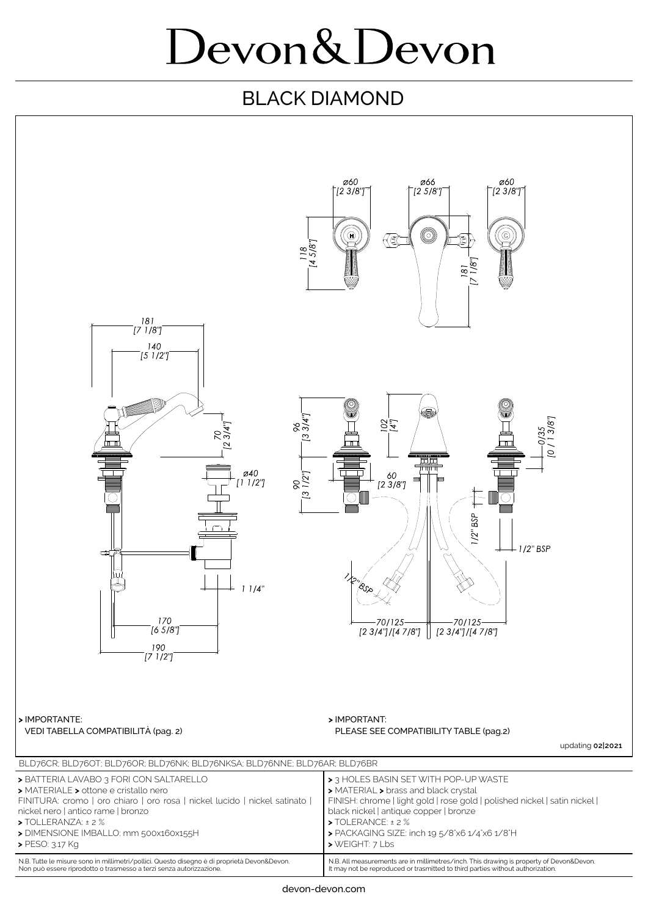## Devon&Devon

## BLACK DIAMOND